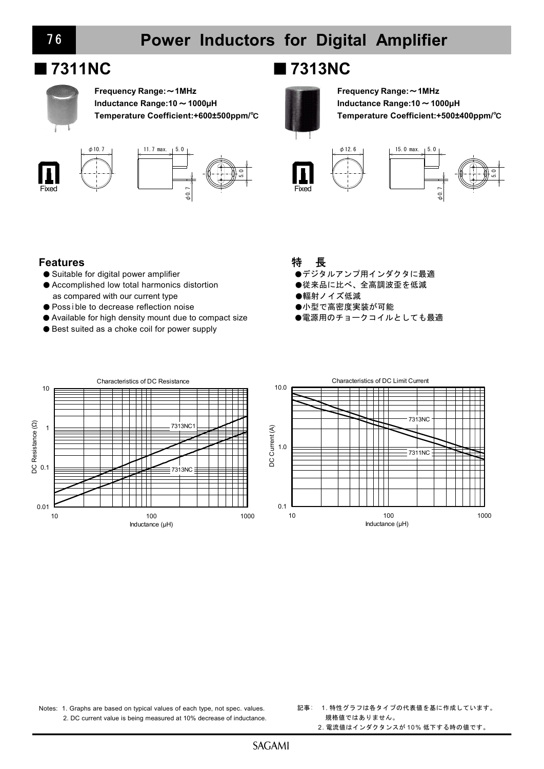

**Frequency Range:**~**1MHz Inductance Range:10**~**1000µH Temperature Coefficient:+600±500ppm/**℃





# ■**7311NC** ■**7313NC**



**Frequency Range:**~**1MHz Inductance Range:10**~**1000µH Temperature Coefficient:+500±400ppm/**℃





### **Features**

- Suitable for digital power amplifier
- Accomplished low total harmonics distortion as compared with our current type
- Possible to decrease reflection noise
- Available for high density mount due to compact size
- Best suited as a choke coil for power supply

## 特 長

- ●デジタルアンプ用インダクタに最適
- ●従来品に比べ、全高調波歪を低減
- ●輻射ノイズ低減
- ●小型で高密度実装が可能
- ●電源用のチョークコイルとしても最適





Notes: 1. Graphs are based on typical values of each type, not spec. values. 2. DC current value is being measured at 10% decrease of inductance.

- 記事: 1. 特性グラフは各タイプの代表値を基に作成しています。 規格値ではありません。
	- 2. 電流値はインダクタンスが 10% 低下する時の値です。